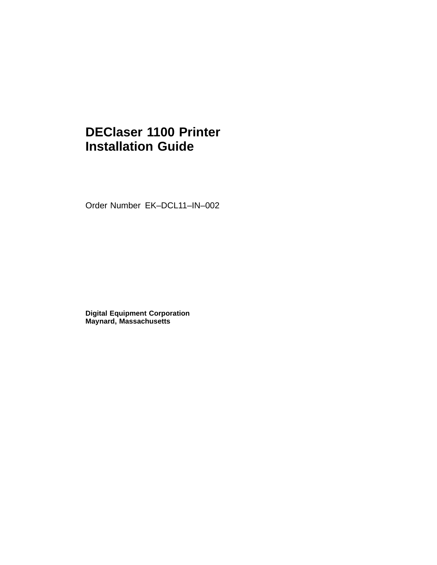## **DEClaser 1100 Printer Installation Guide**

Order Number EK–DCL11–IN–002

**Digital Equipment Corporation Maynard, Massachusetts**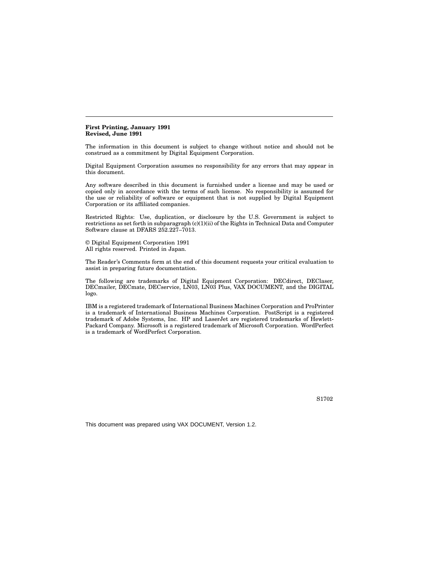#### **First Printing, January 1991 Revised, June 1991**

The information in this document is subject to change without notice and should not be construed as a commitment by Digital Equipment Corporation.

Digital Equipment Corporation assumes no responsibility for any errors that may appear in this document.

Any software described in this document is furnished under a license and may be used or copied only in accordance with the terms of such license. No responsibility is assumed for the use or reliability of software or equipment that is not supplied by Digital Equipment Corporation or its affiliated companies.

Restricted Rights: Use, duplication, or disclosure by the U.S. Government is subject to restrictions as set forth in subparagraph (c)(1)(ii) of the Rights in Technical Data and Computer Software clause at DFARS 252.227–7013.

© Digital Equipment Corporation 1991 All rights reserved. Printed in Japan.

The Reader's Comments form at the end of this document requests your critical evaluation to assist in preparing future documentation.

The following are trademarks of Digital Equipment Corporation: DECdirect, DEClaser, DECmailer, DECmate, DECservice, LN03, LN03 Plus, VAX DOCUMENT, and the DIGITAL logo.

IBM is a registered trademark of International Business Machines Corporation and ProPrinter is a trademark of International Business Machines Corporation. PostScript is a registered trademark of Adobe Systems, Inc. HP and LaserJet are registered trademarks of Hewlett-Packard Company. Microsoft is a registered trademark of Microsoft Corporation. WordPerfect is a trademark of WordPerfect Corporation.

S1702

This document was prepared using VAX DOCUMENT, Version 1.2.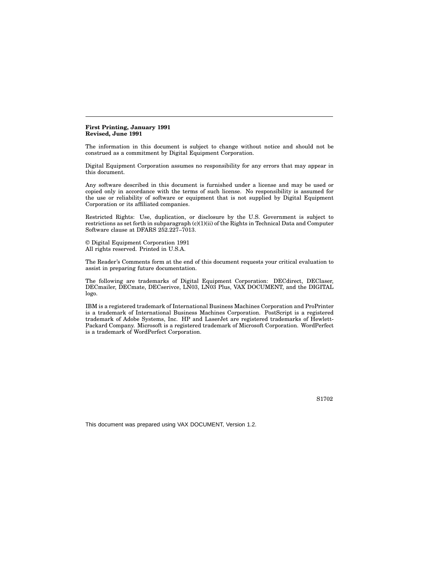#### **First Printing, January 1991 Revised, June 1991**

The information in this document is subject to change without notice and should not be construed as a commitment by Digital Equipment Corporation.

Digital Equipment Corporation assumes no responsibility for any errors that may appear in this document.

Any software described in this document is furnished under a license and may be used or copied only in accordance with the terms of such license. No responsibility is assumed for the use or reliability of software or equipment that is not supplied by Digital Equipment Corporation or its affiliated companies.

Restricted Rights: Use, duplication, or disclosure by the U.S. Government is subject to restrictions as set forth in subparagraph (c)(1)(ii) of the Rights in Technical Data and Computer Software clause at DFARS 252.227–7013.

© Digital Equipment Corporation 1991 All rights reserved. Printed in U.S.A.

The Reader's Comments form at the end of this document requests your critical evaluation to assist in preparing future documentation.

The following are trademarks of Digital Equipment Corporation: DECdirect, DEClaser, DECmailer, DECmate, DECserivce, LN03, LN03 Plus, VAX DOCUMENT, and the DIGITAL logo.

IBM is a registered trademark of International Business Machines Corporation and ProPrinter is a trademark of International Business Machines Corporation. PostScript is a registered trademark of Adobe Systems, Inc. HP and LaserJet are registered trademarks of Hewlett-Packard Company. Microsoft is a registered trademark of Microsoft Corporation. WordPerfect is a trademark of WordPerfect Corporation.

S1702

This document was prepared using VAX DOCUMENT, Version 1.2.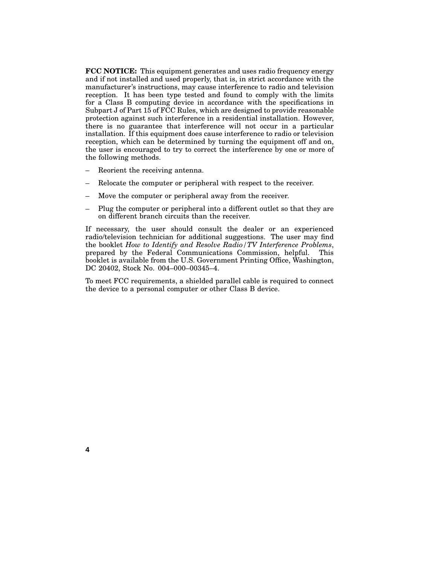**FCC NOTICE:** This equipment generates and uses radio frequency energy and if not installed and used properly, that is, in strict accordance with the manufacturer's instructions, may cause interference to radio and television reception. It has been type tested and found to comply with the limits for a Class B computing device in accordance with the specifications in Subpart J of Part 15 of FCC Rules, which are designed to provide reasonable protection against such interference in a residential installation. However, there is no guarantee that interference will not occur in a particular installation. If this equipment does cause interference to radio or television reception, which can be determined by turning the equipment off and on, the user is encouraged to try to correct the interference by one or more of the following methods.

Reorient the receiving antenna.

**4**

- Relocate the computer or peripheral with respect to the receiver.
- Move the computer or peripheral away from the receiver.
- Plug the computer or peripheral into a different outlet so that they are on different branch circuits than the receiver.

If necessary, the user should consult the dealer or an experienced radio/television technician for additional suggestions. The user may find the booklet *How to Identify and Resolve Radio/TV Interference Problems*, prepared by the Federal Communications Commission, helpful. This booklet is available from the U.S. Government Printing Office, Washington, DC 20402, Stock No. 004–000–00345–4.

To meet FCC requirements, a shielded parallel cable is required to connect the device to a personal computer or other Class B device.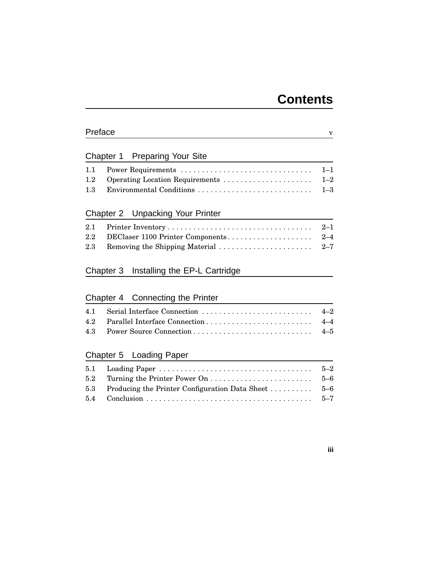## **Contents**

### Preface v

### Chapter 1 Preparing Your Site

## Chapter 2 Unpacking Your Printer

### Chapter 3 Installing the EP-L Cartridge

## Chapter 4 Connecting the Printer

## Chapter 5 Loading Paper

| 5.3 Producing the Printer Configuration Data Sheet  5–6 |  |
|---------------------------------------------------------|--|
|                                                         |  |

### **iii**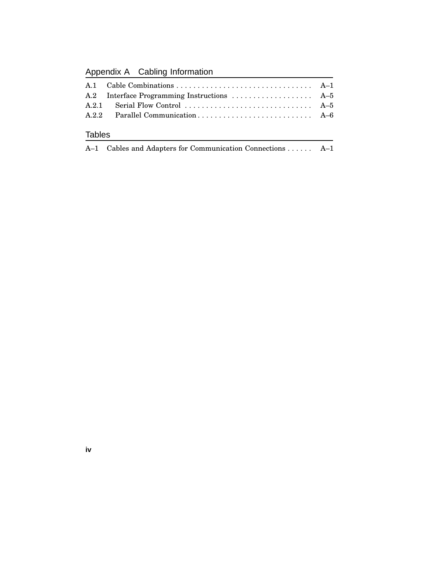Appendix A Cabling Information

|               | A.2 Interface Programming Instructions  A-5 |  |
|---------------|---------------------------------------------|--|
|               |                                             |  |
|               |                                             |  |
| <b>Tables</b> |                                             |  |

|  |  |  |  | A-1 Cables and Adapters for Communication Connections  A-1 |  |
|--|--|--|--|------------------------------------------------------------|--|
|--|--|--|--|------------------------------------------------------------|--|

**iv**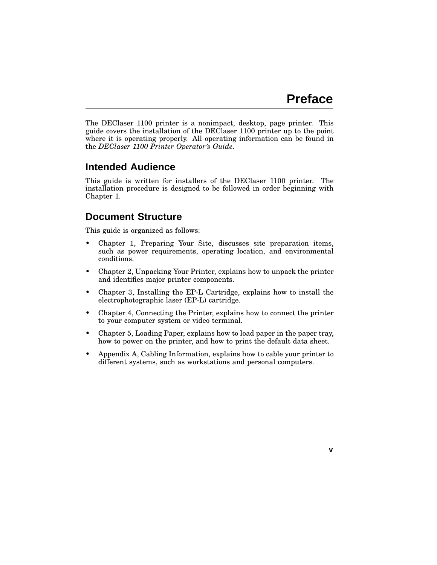**v**

The DEClaser 1100 printer is a nonimpact, desktop, page printer. This guide covers the installation of the DEClaser 1100 printer up to the point where it is operating properly. All operating information can be found in the *DEClaser 1100 Printer Operator's Guide*.

### **Intended Audience**

This guide is written for installers of the DEClaser 1100 printer. The installation procedure is designed to be followed in order beginning with Chapter 1.

### **Document Structure**

This guide is organized as follows:

- Chapter 1, Preparing Your Site, discusses site preparation items, such as power requirements, operating location, and environmental conditions.
- Chapter 2, Unpacking Your Printer, explains how to unpack the printer and identifies major printer components.
- Chapter 3, Installing the EP-L Cartridge, explains how to install the electrophotographic laser (EP-L) cartridge.
- Chapter 4, Connecting the Printer, explains how to connect the printer to your computer system or video terminal.
- Chapter 5, Loading Paper, explains how to load paper in the paper tray, how to power on the printer, and how to print the default data sheet.
- Appendix A, Cabling Information, explains how to cable your printer to different systems, such as workstations and personal computers.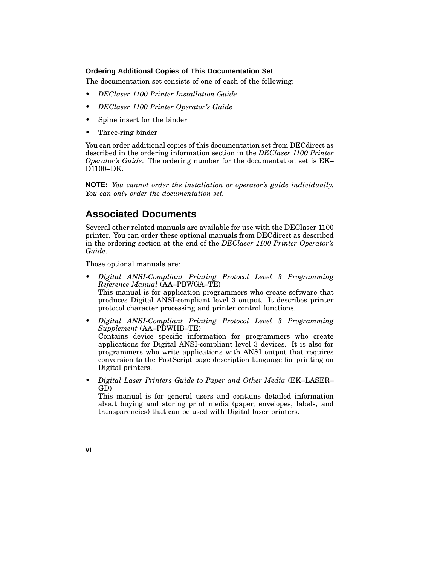#### **Ordering Additional Copies of This Documentation Set**

The documentation set consists of one of each of the following:

- *DEClaser 1100 Printer Installation Guide*
- *DEClaser 1100 Printer Operator's Guide*
- Spine insert for the binder
- Three-ring binder

You can order additional copies of this documentation set from DECdirect as described in the ordering information section in the *DEClaser 1100 Printer Operator's Guide*. The ordering number for the documentation set is EK– D1100–DK.

**NOTE:** *You cannot order the installation or operator's guide individually. You can only order the documentation set.*

### **Associated Documents**

Several other related manuals are available for use with the DEClaser 1100 printer. You can order these optional manuals from DECdirect as described in the ordering section at the end of the *DEClaser 1100 Printer Operator's Guide*.

Those optional manuals are:

• *Digital ANSI-Compliant Printing Protocol Level 3 Programming Reference Manual* (AA–PBWGA–TE) This manual is for application programmers who create software that produces Digital ANSI-compliant level 3 output. It describes printer protocol character processing and printer control functions.

• *Digital ANSI-Compliant Printing Protocol Level 3 Programming Supplement* (AA–PBWHB–TE) Contains device specific information for programmers who create applications for Digital ANSI-compliant level 3 devices. It is also for programmers who write applications with ANSI output that requires conversion to the PostScript page description language for printing on Digital printers.

• *Digital Laser Printers Guide to Paper and Other Media* (EK–LASER– GD)

This manual is for general users and contains detailed information about buying and storing print media (paper, envelopes, labels, and transparencies) that can be used with Digital laser printers.

**vi**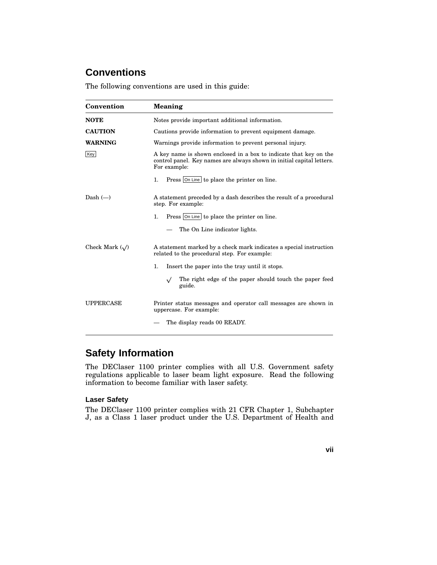## **Conventions**

The following conventions are used in this guide:

| Convention           | <b>Meaning</b>                                                                                                                                             |  |  |  |
|----------------------|------------------------------------------------------------------------------------------------------------------------------------------------------------|--|--|--|
| <b>NOTE</b>          | Notes provide important additional information.                                                                                                            |  |  |  |
| <b>CAUTION</b>       | Cautions provide information to prevent equipment damage.                                                                                                  |  |  |  |
| <b>WARNING</b>       | Warnings provide information to prevent personal injury.                                                                                                   |  |  |  |
| Key                  | A key name is shown enclosed in a box to indicate that key on the<br>control panel. Key names are always shown in initial capital letters.<br>For example: |  |  |  |
|                      | Press On Line to place the printer on line.<br>1.                                                                                                          |  |  |  |
| Dash $(-)$           | A statement preceded by a dash describes the result of a procedural<br>step. For example:                                                                  |  |  |  |
|                      | Press On Line to place the printer on line.<br>$\mathbf{1}$ .                                                                                              |  |  |  |
|                      | The On Line indicator lights.                                                                                                                              |  |  |  |
| Check Mark $(\sqrt)$ | A statement marked by a check mark indicates a special instruction<br>related to the procedural step. For example:                                         |  |  |  |
|                      | 1.<br>Insert the paper into the tray until it stops.                                                                                                       |  |  |  |
|                      | The right edge of the paper should touch the paper feed<br>$\sqrt{}$<br>guide.                                                                             |  |  |  |
| <b>UPPERCASE</b>     | Printer status messages and operator call messages are shown in<br>uppercase. For example:                                                                 |  |  |  |
|                      | The display reads 00 READY.                                                                                                                                |  |  |  |

## **Safety Information**

The DEClaser 1100 printer complies with all U.S. Government safety regulations applicable to laser beam light exposure. Read the following information to become familiar with laser safety.

#### **Laser Safety**

The DEClaser 1100 printer complies with 21 CFR Chapter 1, Subchapter J, as a Class 1 laser product under the U.S. Department of Health and

**vii**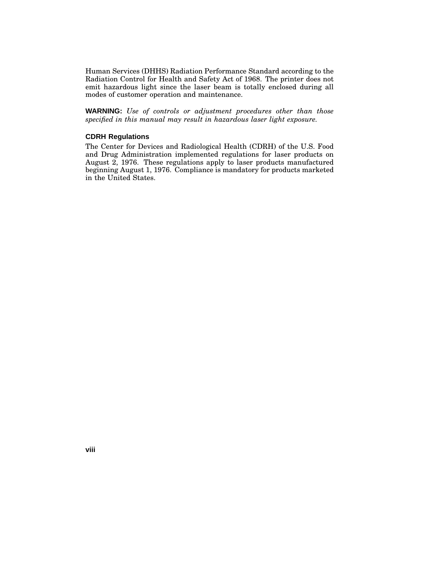Human Services (DHHS) Radiation Performance Standard according to the Radiation Control for Health and Safety Act of 1968. The printer does not emit hazardous light since the laser beam is totally enclosed during all modes of customer operation and maintenance.

**WARNING:** *Use of controls or adjustment procedures other than those specified in this manual may result in hazardous laser light exposure.*

#### **CDRH Regulations**

The Center for Devices and Radiological Health (CDRH) of the U.S. Food and Drug Administration implemented regulations for laser products on August 2, 1976. These regulations apply to laser products manufactured beginning August 1, 1976. Compliance is mandatory for products marketed in the United States.

**viii**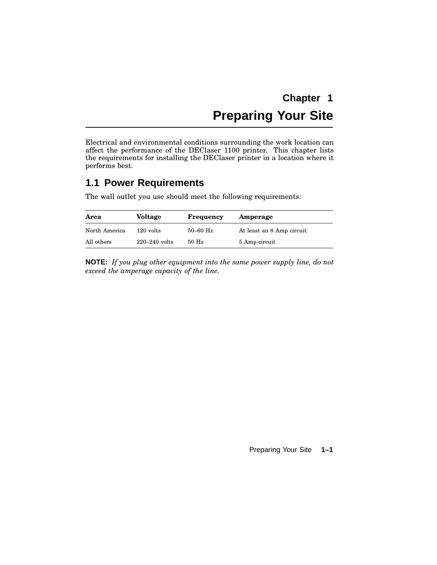# **Chapter 1 Preparing Your Site**

Electrical and environmental conditions surrounding the work location can affect the performance of the DEClaser 1100 printer. This chapter lists the requirements for installing the DEClaser printer in a location where it performs best.

## **1.1 Power Requirements**

The wall outlet you use should meet the following requirements:

| Area          | <b>Voltage</b>    | Frequency  | Amperage                  |
|---------------|-------------------|------------|---------------------------|
| North America | $120$ volts       | $50-60$ Hz | At least an 8 Amp circuit |
| All others    | $220 - 240$ volts | $50$ Hz    | 5 Amp circuit             |

**NOTE:** *If you plug other equipment into the same power supply line, do not exceed the amperage capacity of the line.*

Preparing Your Site **1–1**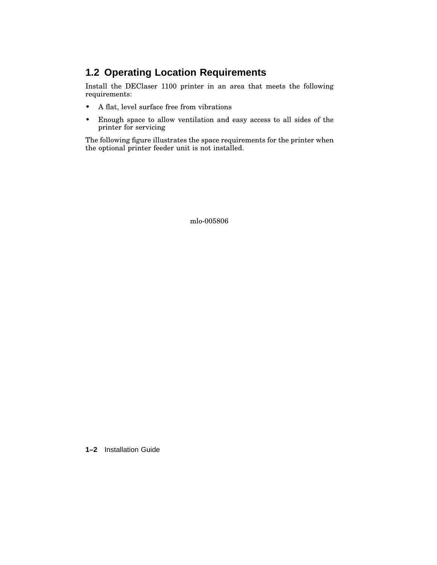## **1.2 Operating Location Requirements**

Install the DEClaser 1100 printer in an area that meets the following requirements:

- A flat, level surface free from vibrations
- Enough space to allow ventilation and easy access to all sides of the printer for servicing

The following figure illustrates the space requirements for the printer when the optional printer feeder unit is not installed.

mlo-005806

**1–2** Installation Guide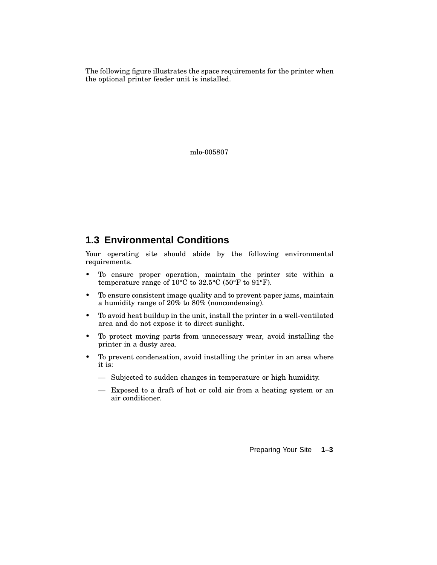The following figure illustrates the space requirements for the printer when the optional printer feeder unit is installed.

mlo-005807

## **1.3 Environmental Conditions**

Your operating site should abide by the following environmental requirements.

- To ensure proper operation, maintain the printer site within a temperature range of 10°C to 32.5°C (50°F to 91°F).
- To ensure consistent image quality and to prevent paper jams, maintain a humidity range of 20% to 80% (noncondensing).
- To avoid heat buildup in the unit, install the printer in a well-ventilated area and do not expose it to direct sunlight.
- To protect moving parts from unnecessary wear, avoid installing the printer in a dusty area.
- To prevent condensation, avoid installing the printer in an area where it is:
	- Subjected to sudden changes in temperature or high humidity.
	- Exposed to a draft of hot or cold air from a heating system or an air conditioner.

Preparing Your Site **1–3**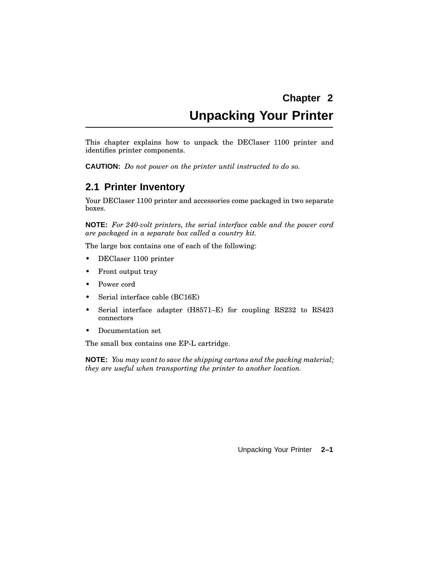# **Chapter 2 Unpacking Your Printer**

This chapter explains how to unpack the DEClaser 1100 printer and identifies printer components.

**CAUTION:** *Do not power on the printer until instructed to do so.*

## **2.1 Printer Inventory**

Your DEClaser 1100 printer and accessories come packaged in two separate boxes.

**NOTE:** *For 240-volt printers, the serial interface cable and the power cord are packaged in a separate box called a country kit.*

The large box contains one of each of the following:

- DEClaser 1100 printer
- Front output tray
- Power cord
- Serial interface cable (BC16E)
- Serial interface adapter (H8571–E) for coupling RS232 to RS423 connectors
- Documentation set

The small box contains one EP-L cartridge.

**NOTE:** *You may want to save the shipping cartons and the packing material; they are useful when transporting the printer to another location.*

Unpacking Your Printer **2–1**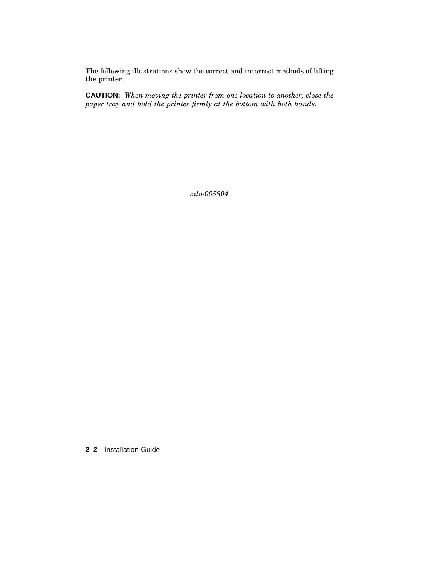The following illustrations show the correct and incorrect methods of lifting the printer.

**CAUTION:** *When moving the printer from one location to another, close the paper tray and hold the printer firmly at the bottom with both hands.*

*mlo-005804*

**2–2** Installation Guide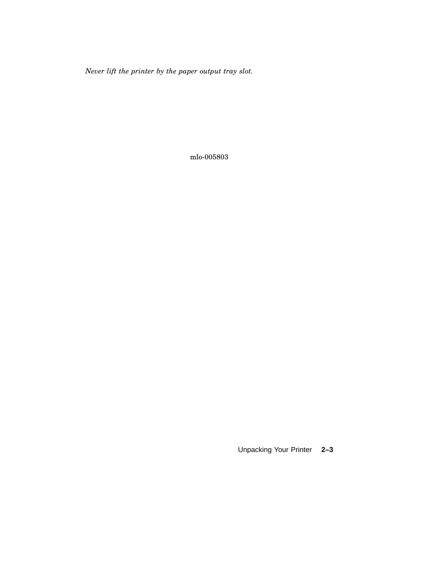*Never lift the printer by the paper output tray slot.*

mlo-005803

Unpacking Your Printer **2–3**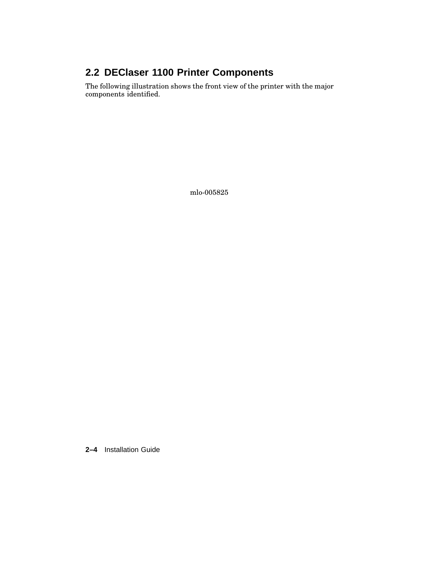## **2.2 DEClaser 1100 Printer Components**

The following illustration shows the front view of the printer with the major components identified.

mlo-005825

**2–4** Installation Guide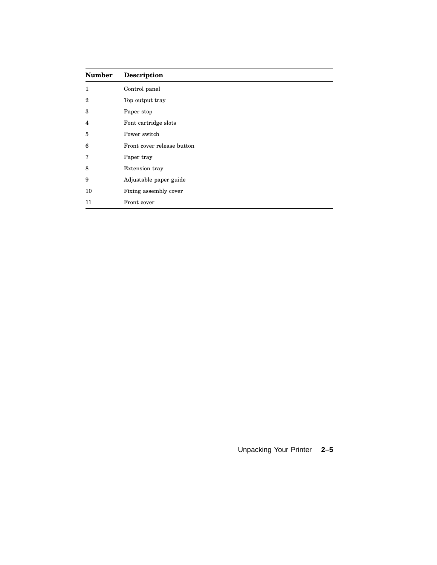| <b>Number</b>    | <b>Description</b>         |
|------------------|----------------------------|
| 1                | Control panel              |
| $\boldsymbol{2}$ | Top output tray            |
| 3                | Paper stop                 |
| 4                | Font cartridge slots       |
| 5                | Power switch               |
| 6                | Front cover release button |
| 7                | Paper tray                 |
| 8                | Extension tray             |
| 9                | Adjustable paper guide     |
| 10               | Fixing assembly cover      |
| 11               | Front cover                |

## Unpacking Your Printer **2–5**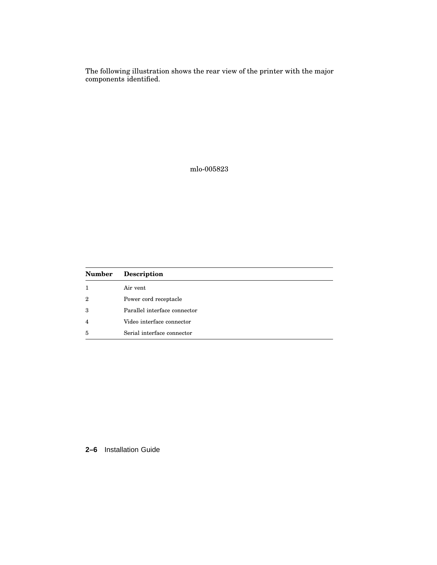The following illustration shows the rear view of the printer with the major components identified.

mlo-005823

| <b>Number</b> | <b>Description</b>           |
|---------------|------------------------------|
|               | Air vent                     |
| 2             | Power cord receptacle        |
| 3             | Parallel interface connector |
| 4             | Video interface connector    |
| 5             | Serial interface connector   |

#### **2–6** Installation Guide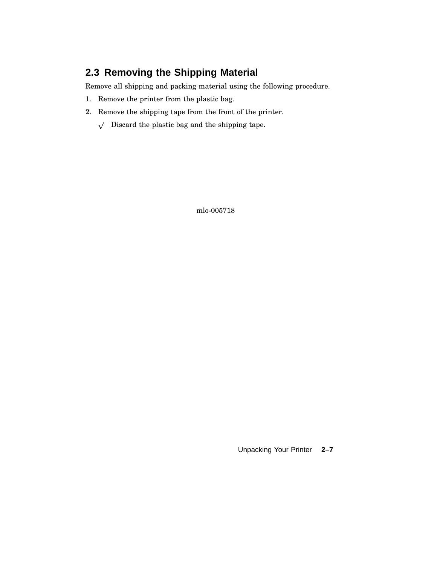## **2.3 Removing the Shipping Material**

Remove all shipping and packing material using the following procedure.

- 1. Remove the printer from the plastic bag.
- 2. Remove the shipping tape from the front of the printer.
	- $\sqrt{ }$  Discard the plastic bag and the shipping tape.

mlo-005718

Unpacking Your Printer **2–7**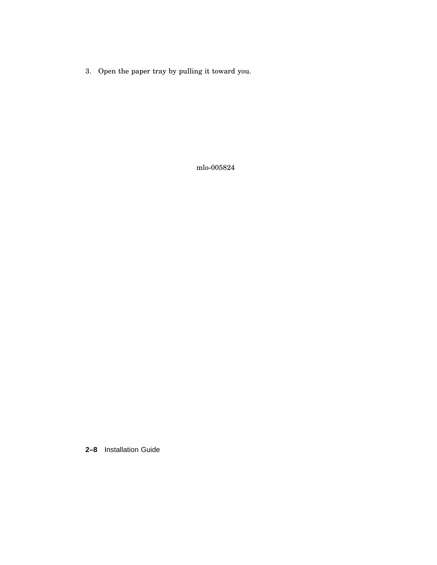3. Open the paper tray by pulling it toward you.

mlo-005824

**2–8** Installation Guide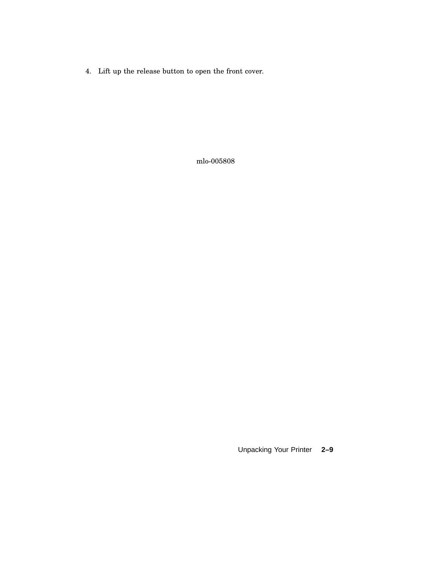4. Lift up the release button to open the front cover.

mlo-005808

Unpacking Your Printer **2–9**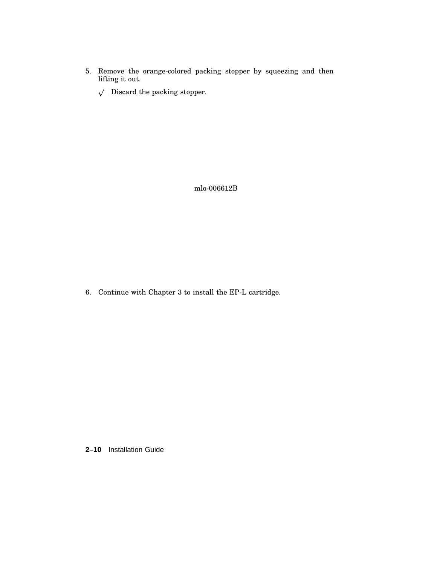- 5. Remove the orange-colored packing stopper by squeezing and then lifting it out.
	- $\sqrt{ }$  Discard the packing stopper.

mlo-006612B

6. Continue with Chapter 3 to install the EP-L cartridge.

**2–10** Installation Guide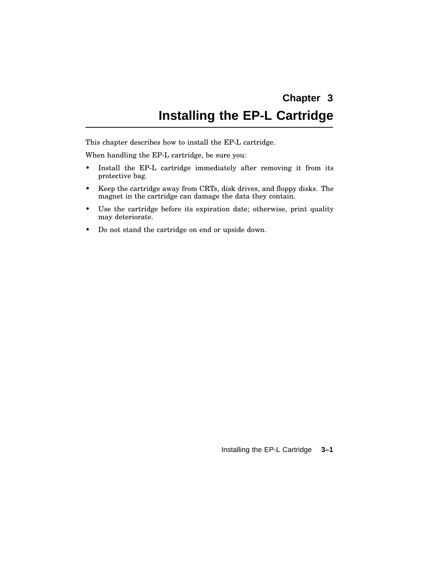# **Chapter 3 Installing the EP-L Cartridge**

This chapter describes how to install the EP-L cartridge.

When handling the EP-L cartridge, be sure you:

- Install the EP-L cartridge immediately after removing it from its protective bag.
- Keep the cartridge away from CRTs, disk drives, and floppy disks. The magnet in the cartridge can damage the data they contain.
- Use the cartridge before its expiration date; otherwise, print quality may deteriorate.
- Do not stand the cartridge on end or upside down.

Installing the EP-L Cartridge **3–1**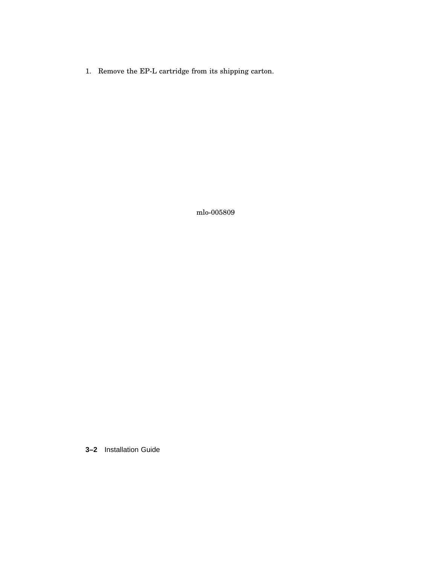1. Remove the EP-L cartridge from its shipping carton.

mlo-005809

**3–2** Installation Guide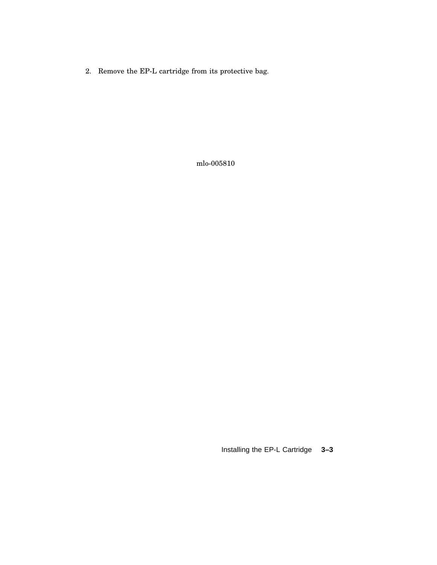2. Remove the EP-L cartridge from its protective bag.

mlo-005810

Installing the EP-L Cartridge **3–3**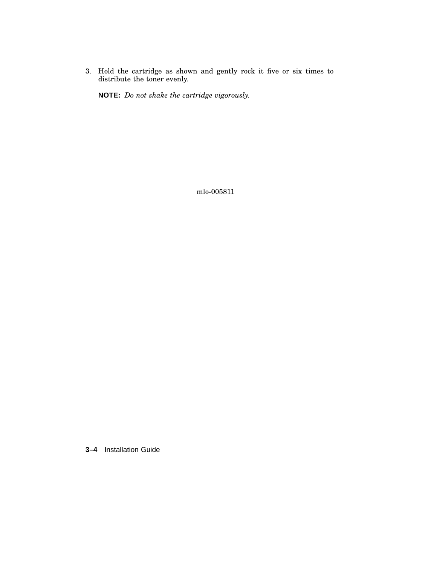3. Hold the cartridge as shown and gently rock it five or six times to distribute the toner evenly.

**NOTE:** *Do not shake the cartridge vigorously.*

mlo-005811

**3–4** Installation Guide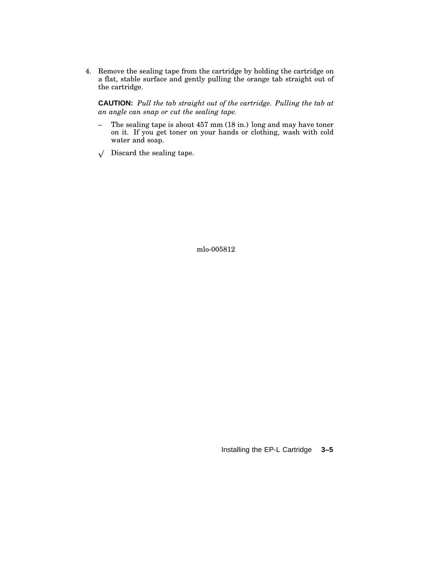4. Remove the sealing tape from the cartridge by holding the cartridge on a flat, stable surface and gently pulling the orange tab straight out of the cartridge.

**CAUTION:** *Pull the tab straight out of the cartridge. Pulling the tab at an angle can snap or cut the sealing tape.*

- The sealing tape is about 457 mm (18 in.) long and may have toner on it. If you get toner on your hands or clothing, wash with cold water and soap.
- $\sqrt{ }$  Discard the sealing tape.

mlo-005812

Installing the EP-L Cartridge **3–5**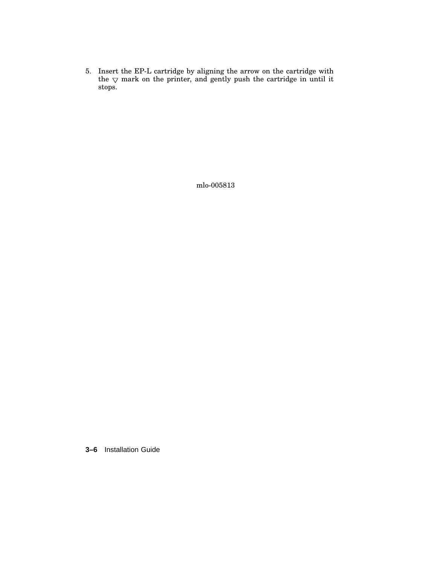5. Insert the EP-L cartridge by aligning the arrow on the cartridge with the  $\nabla$  mark on the printer, and gently push the cartridge in until it stops.

mlo-005813

**3–6** Installation Guide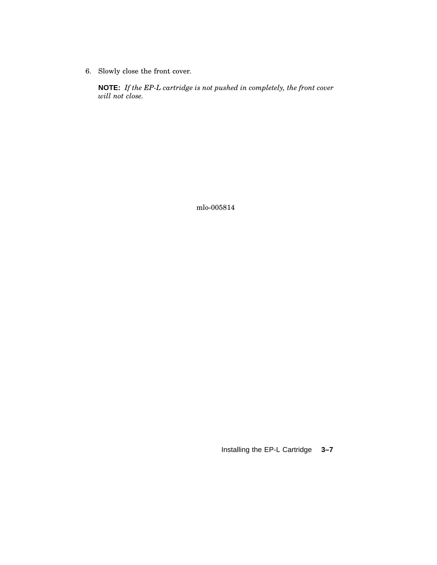6. Slowly close the front cover.

**NOTE:** *If the EP-L cartridge is not pushed in completely, the front cover will not close.*

mlo-005814

Installing the EP-L Cartridge **3–7**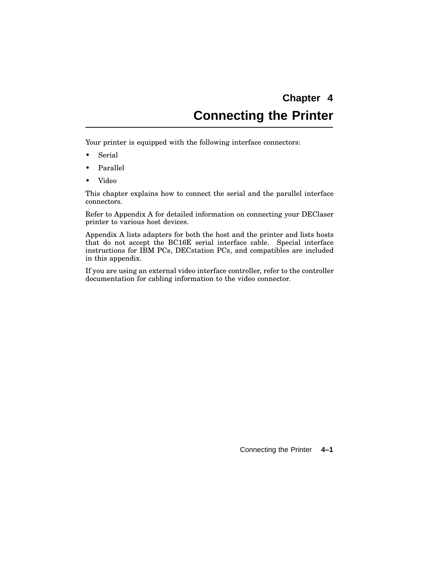# **Chapter 4 Connecting the Printer**

Your printer is equipped with the following interface connectors:

- Serial
- Parallel
- Video

This chapter explains how to connect the serial and the parallel interface connectors.

Refer to Appendix A for detailed information on connecting your DEClaser printer to various host devices.

Appendix A lists adapters for both the host and the printer and lists hosts that do not accept the BC16E serial interface cable. Special interface instructions for IBM PCs, DECstation PCs, and compatibles are included in this appendix.

If you are using an external video interface controller, refer to the controller documentation for cabling information to the video connector.

Connecting the Printer **4–1**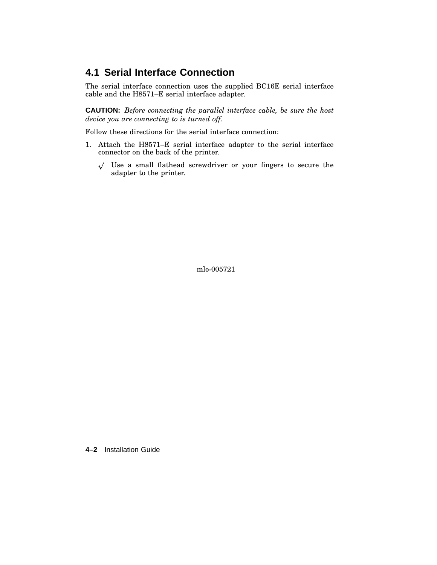## **4.1 Serial Interface Connection**

The serial interface connection uses the supplied BC16E serial interface cable and the H8571–E serial interface adapter.

**CAUTION:** *Before connecting the parallel interface cable, be sure the host device you are connecting to is turned off.*

Follow these directions for the serial interface connection:

- 1. Attach the H8571–E serial interface adapter to the serial interface connector on the back of the printer.
	- $\sqrt{ }$  Use a small flathead screwdriver or your fingers to secure the adapter to the printer.

mlo-005721

**4–2** Installation Guide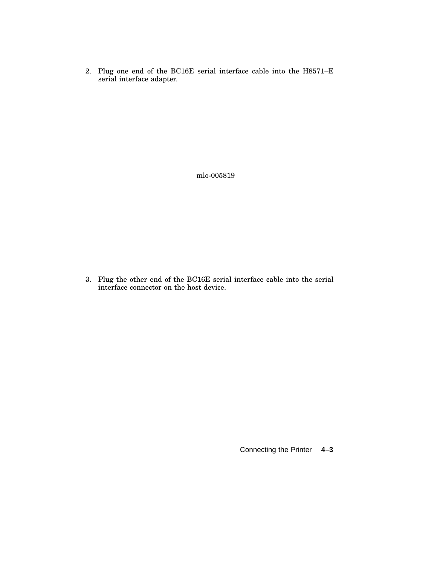2. Plug one end of the BC16E serial interface cable into the H8571–E serial interface adapter.

mlo-005819

3. Plug the other end of the BC16E serial interface cable into the serial interface connector on the host device.

Connecting the Printer **4–3**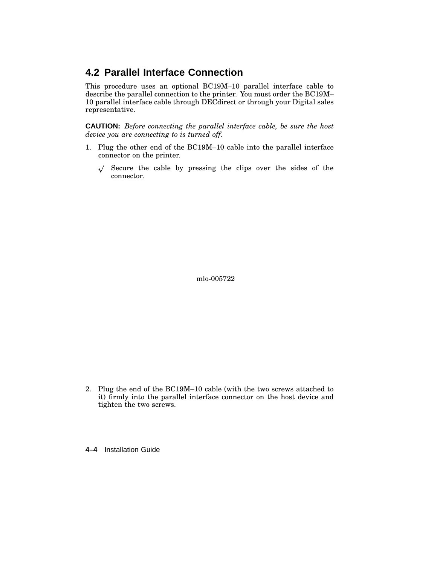## **4.2 Parallel Interface Connection**

This procedure uses an optional BC19M–10 parallel interface cable to describe the parallel connection to the printer. You must order the BC19M– 10 parallel interface cable through DECdirect or through your Digital sales representative.

**CAUTION:** *Before connecting the parallel interface cable, be sure the host device you are connecting to is turned off.*

- 1. Plug the other end of the BC19M–10 cable into the parallel interface connector on the printer.
	- $\sqrt{ }$  Secure the cable by pressing the clips over the sides of the connector.

mlo-005722

- 2. Plug the end of the BC19M–10 cable (with the two screws attached to it) firmly into the parallel interface connector on the host device and tighten the two screws.
- **4–4** Installation Guide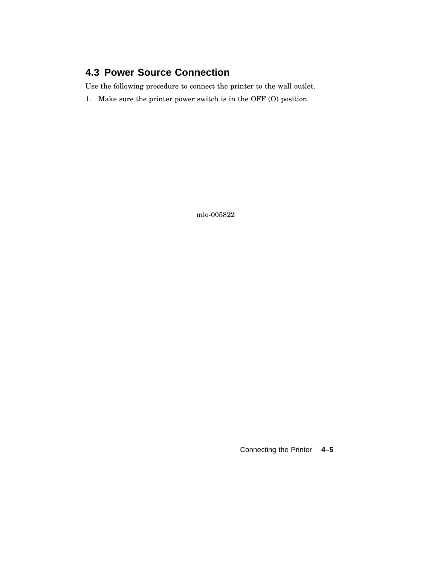## **4.3 Power Source Connection**

Use the following procedure to connect the printer to the wall outlet.

1. Make sure the printer power switch is in the OFF (O) position.

mlo-005822

Connecting the Printer **4–5**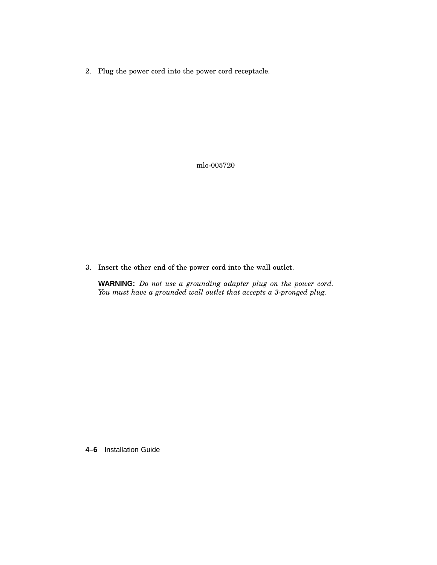2. Plug the power cord into the power cord receptacle.

mlo-005720

3. Insert the other end of the power cord into the wall outlet.

**WARNING:** *Do not use a grounding adapter plug on the power cord. You must have a grounded wall outlet that accepts a 3-pronged plug.*

**4–6** Installation Guide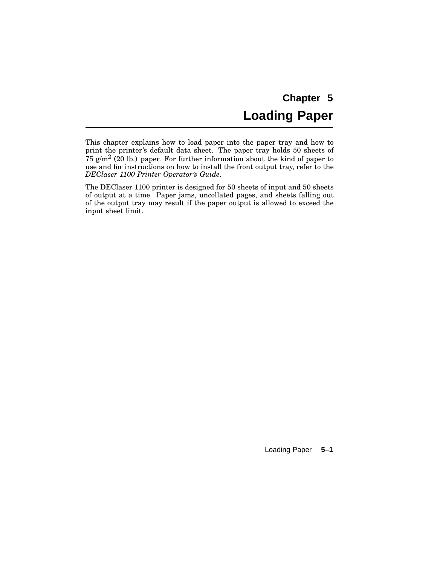# **Chapter 5 Loading Paper**

This chapter explains how to load paper into the paper tray and how to print the printer's default data sheet. The paper tray holds 50 sheets of 75 g/m<sup>2</sup> (20 lb.) paper. For further information about the kind of paper to use and for instructions on how to install the front output tray, refer to the *DEClaser 1100 Printer Operator's Guide*.

The DEClaser 1100 printer is designed for 50 sheets of input and 50 sheets of output at a time. Paper jams, uncollated pages, and sheets falling out of the output tray may result if the paper output is allowed to exceed the input sheet limit.

Loading Paper **5–1**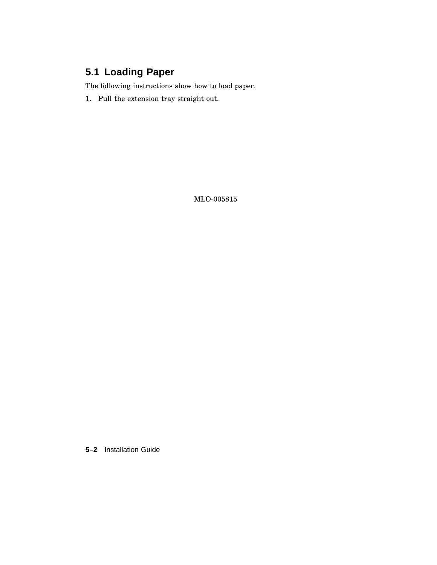## **5.1 Loading Paper**

The following instructions show how to load paper.

1. Pull the extension tray straight out.

MLO-005815

**5–2** Installation Guide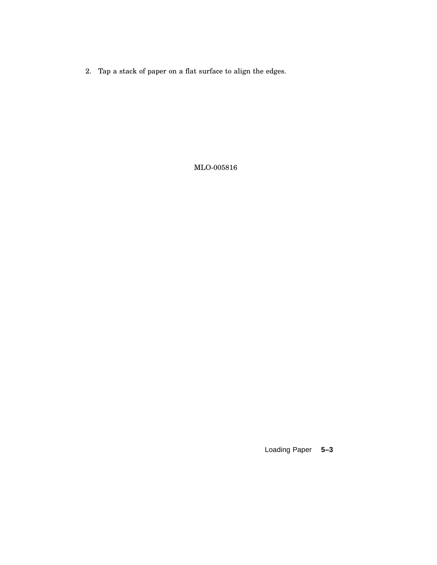2. Tap a stack of paper on a flat surface to align the edges.

MLO-005816

Loading Paper **5–3**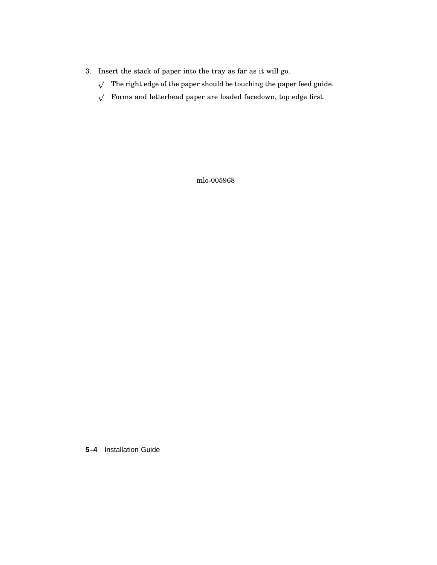- 3. Insert the stack of paper into the tray as far as it will go.
	- $\sqrt{ }$  The right edge of the paper should be touching the paper feed guide.
	- $\sqrt{\phantom{a}}$  Forms and letterhead paper are loaded facedown, top edge first.

mlo-005968

**5–4** Installation Guide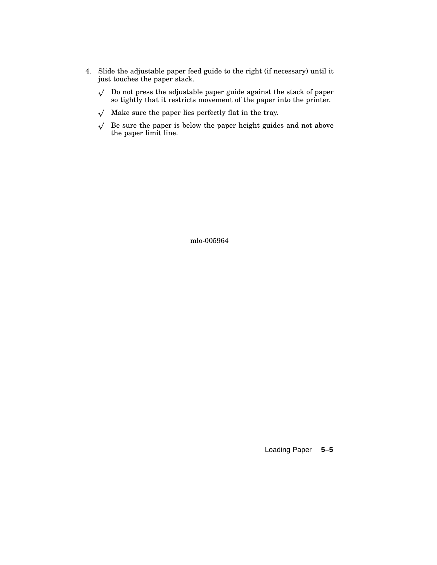- 4. Slide the adjustable paper feed guide to the right (if necessary) until it just touches the paper stack.
	- $\sqrt{ }$  Do not press the adjustable paper guide against the stack of paper so tightly that it restricts movement of the paper into the printer.
	- $\sqrt{ }$  Make sure the paper lies perfectly flat in the tray.
	- $\sqrt{ }$  Be sure the paper is below the paper height guides and not above the paper limit line.

mlo-005964

Loading Paper **5–5**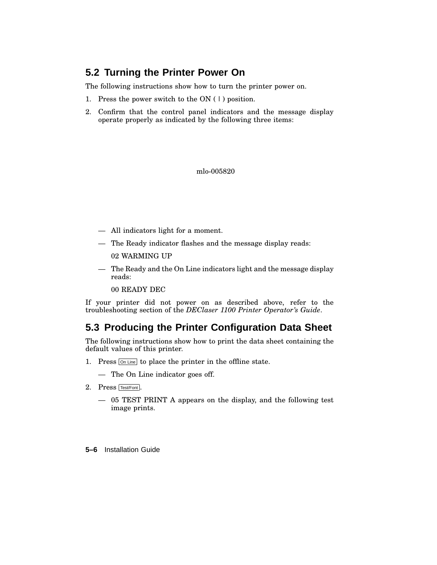## **5.2 Turning the Printer Power On**

The following instructions show how to turn the printer power on.

- 1. Press the power switch to the ON ( | ) position.
- 2. Confirm that the control panel indicators and the message display operate properly as indicated by the following three items:

mlo-005820

- All indicators light for a moment.
- The Ready indicator flashes and the message display reads:

02 WARMING UP

— The Ready and the On Line indicators light and the message display reads:

00 READY DEC

If your printer did not power on as described above, refer to the troubleshooting section of the *DEClaser 1100 Printer Operator's Guide*.

### **5.3 Producing the Printer Configuration Data Sheet**

The following instructions show how to print the data sheet containing the default values of this printer.

- 1. Press  $\boxed{\circ}$  Line to place the printer in the offline state.
	- The On Line indicator goes off.
- 2. Press Test/Font .
	- 05 TEST PRINT A appears on the display, and the following test image prints.
- **5–6** Installation Guide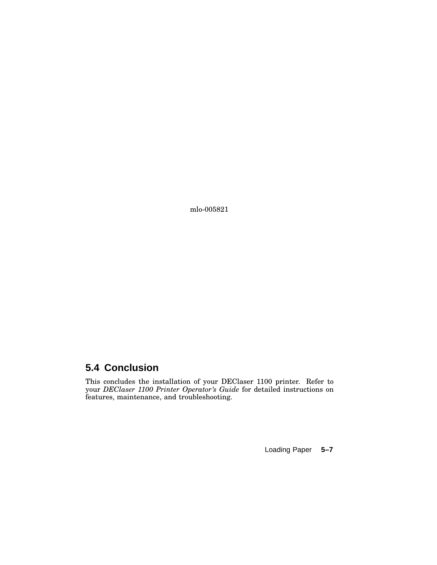mlo-005821

## **5.4 Conclusion**

This concludes the installation of your DEClaser 1100 printer. Refer to your *DEClaser 1100 Printer Operator's Guide* for detailed instructions on features, maintenance, and troubleshooting.

Loading Paper **5–7**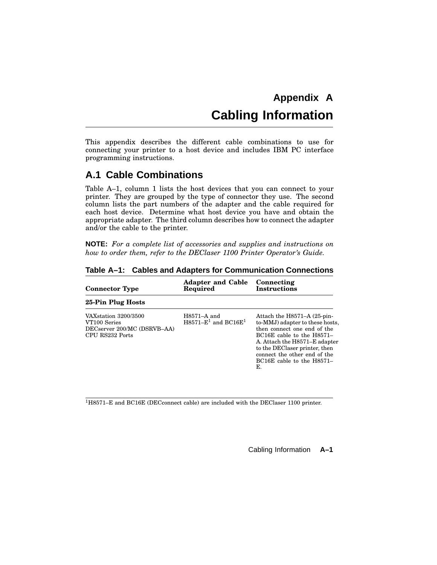# **Appendix A Cabling Information**

This appendix describes the different cable combinations to use for connecting your printer to a host device and includes IBM PC interface programming instructions.

## **A.1 Cable Combinations**

Table A–1, column 1 lists the host devices that you can connect to your printer. They are grouped by the type of connector they use. The second column lists the part numbers of the adapter and the cable required for each host device. Determine what host device you have and obtain the appropriate adapter. The third column describes how to connect the adapter and/or the cable to the printer.

**NOTE:** *For a complete list of accessories and supplies and instructions on how to order them, refer to the DEClaser 1100 Printer Operator's Guide.*

| <b>Connector Type</b>                                                                   | <b>Adapter and Cable</b><br>Required                 | Connecting<br><b>Instructions</b>                                                                                                                                                                                                                                       |
|-----------------------------------------------------------------------------------------|------------------------------------------------------|-------------------------------------------------------------------------------------------------------------------------------------------------------------------------------------------------------------------------------------------------------------------------|
| 25-Pin Plug Hosts                                                                       |                                                      |                                                                                                                                                                                                                                                                         |
| VAX station 3200/3500<br>VT100 Series<br>DECserver 200/MC (DSRVB-AA)<br>CPU RS232 Ports | $H8571-A$ and<br>$H8571 - E1$ and BC16E <sup>1</sup> | Attach the H8571-A (25-pin-<br>to-MMJ) adapter to these hosts,<br>then connect one end of the<br>$BC16E$ cable to the $H8571-$<br>A. Attach the H8571–E adapter<br>to the DEClaser printer, then<br>connect the other end of the<br>$BC16E$ cable to the $H8571-$<br>Е. |

**Table A–1: Cables and Adapters for Communication Connections**

<sup>1</sup>H8571–E and BC16E (DECconnect cable) are included with the DEClaser 1100 printer.

Cabling Information **A–1**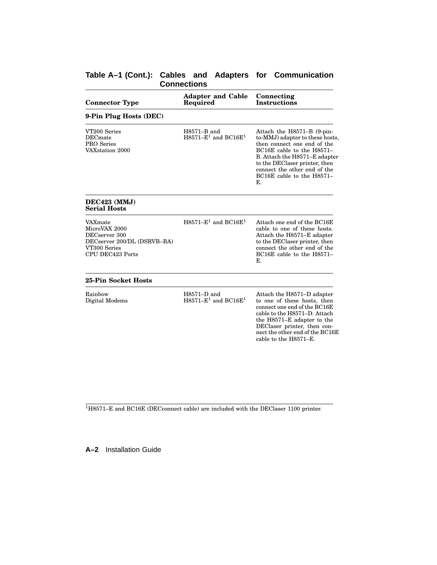### **Table A–1 (Cont.): Cables and Adapters for Communication Connections**

| <b>Connector Type</b>                                                                                        | <b>Adapter and Cable</b><br>Required                   | Connecting<br><b>Instructions</b>                                                                                                                                                                                                                              |
|--------------------------------------------------------------------------------------------------------------|--------------------------------------------------------|----------------------------------------------------------------------------------------------------------------------------------------------------------------------------------------------------------------------------------------------------------------|
| 9-Pin Plug Hosts (DEC)                                                                                       |                                                        |                                                                                                                                                                                                                                                                |
| VT200 Series<br><b>DEC</b> mate<br>PRO Series<br>VAXstation 2000                                             | $H8571 - B$ and<br>$H8571 - E1$ and BC16E <sup>1</sup> | Attach the H8571–B (9-pin-<br>to-MMJ) adapter to these hosts,<br>then connect one end of the<br>BC16E cable to the H8571-<br>B. Attach the H8571–E adapter<br>to the DEClaser printer, then<br>connect the other end of the<br>BC16E cable to the H8571-<br>Е. |
| DEC423 (MMJ)<br><b>Serial Hosts</b>                                                                          |                                                        |                                                                                                                                                                                                                                                                |
| VAXmate<br>MicroVAX 2000<br>DECserver 300<br>DECserver 200/DL (DSRVB-BA)<br>VT300 Series<br>CPU DEC423 Ports | $H8571 - E1$ and BC16E <sup>1</sup>                    | Attach one end of the BC16E<br>cable to one of these hosts.<br>Attach the H8571–E adapter<br>to the DEClaser printer, then<br>connect the other end of the<br>BC16E cable to the H8571-<br>Е.                                                                  |
| 25-Pin Socket Hosts                                                                                          |                                                        |                                                                                                                                                                                                                                                                |
| Rainbow<br>Digital Modems                                                                                    | $H8571-D$ and<br>$H8571 - E1$ and BC16E <sup>1</sup>   | Attach the H8571–D adapter<br>to one of these hosts, then<br>connect one end of the BC16E<br>cable to the H8571-D. Attach<br>the H8571-E adapter to the<br>DEClaser printer, then con-<br>nect the other end of the BC16E<br>cable to the H8571–E.             |

<sup>1</sup>H8571–E and BC16E (DECconnect cable) are included with the DEClaser 1100 printer.

**A–2** Installation Guide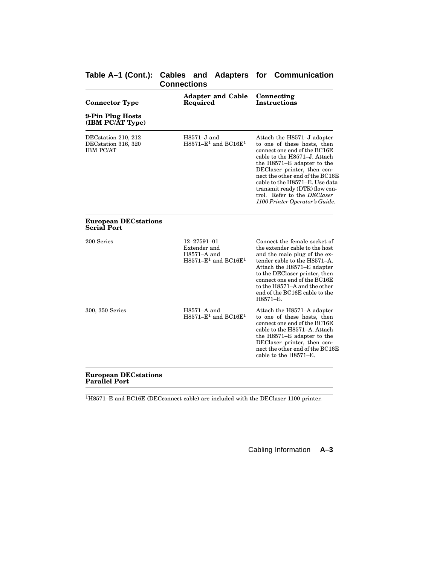| Table A-1 (Cont.): Cables and Adapters for Communication |                    |  |  |  |
|----------------------------------------------------------|--------------------|--|--|--|
|                                                          | <b>Connections</b> |  |  |  |

| <b>Adapter and Cable</b><br>Required                                                | Connecting<br><b>Instructions</b>                                                                                                                                                                                                                                                                                                                              |  |  |
|-------------------------------------------------------------------------------------|----------------------------------------------------------------------------------------------------------------------------------------------------------------------------------------------------------------------------------------------------------------------------------------------------------------------------------------------------------------|--|--|
|                                                                                     |                                                                                                                                                                                                                                                                                                                                                                |  |  |
| $H8571 - J$ and<br>$H8571-E1$ and BC16E <sup>1</sup>                                | Attach the H8571–J adapter<br>to one of these hosts, then<br>connect one end of the BC16E<br>cable to the H8571-J. Attach<br>the H8571-E adapter to the<br>DEClaser printer, then con-<br>nect the other end of the BC16E<br>cable to the H8571-E. Use data<br>transmit ready (DTR) flow con-<br>trol. Refer to the DEClaser<br>1100 Printer Operator's Guide. |  |  |
|                                                                                     |                                                                                                                                                                                                                                                                                                                                                                |  |  |
| 12-27591-01<br>Extender and<br>$H8571-A$ and<br>$H8571 - E1$ and BC16E <sup>1</sup> | Connect the female socket of<br>the extender cable to the host<br>and the male plug of the ex-<br>tender cable to the H8571–A.<br>Attach the H8571–E adapter<br>to the DEClaser printer, then<br>connect one end of the BC16E<br>to the H8571–A and the other<br>end of the BC16E cable to the<br>H8571-E.                                                     |  |  |
| $H8571-A$ and<br>$H8571-E1$ and BC16E <sup>1</sup>                                  | Attach the H8571–A adapter<br>to one of these hosts, then<br>connect one end of the BC16E<br>cable to the H8571-A. Attach<br>the H8571–E adapter to the<br>DEClaser printer, then con-<br>nect the other end of the BC16E<br>cable to the H8571–E.                                                                                                             |  |  |
|                                                                                     |                                                                                                                                                                                                                                                                                                                                                                |  |  |

<sup>1</sup>H8571–E and BC16E (DECconnect cable) are included with the DEClaser 1100 printer.

Cabling Information **A–3**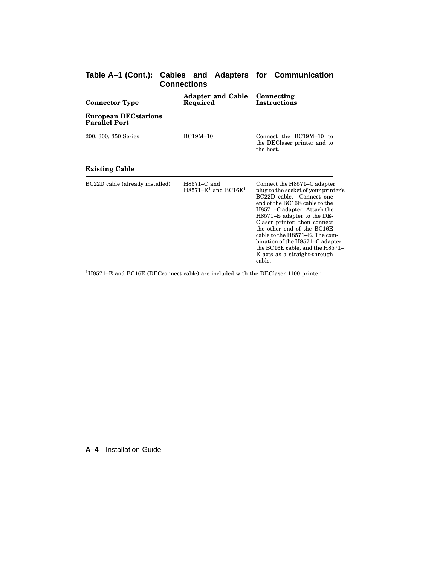| <b>Connections</b>                                  |                                                      |                                                                                                                                                                                                                                                                                                                                                                                                                |  |  |
|-----------------------------------------------------|------------------------------------------------------|----------------------------------------------------------------------------------------------------------------------------------------------------------------------------------------------------------------------------------------------------------------------------------------------------------------------------------------------------------------------------------------------------------------|--|--|
| <b>Connector Type</b>                               | <b>Adapter and Cable</b><br>Required                 | Connecting<br><b>Instructions</b>                                                                                                                                                                                                                                                                                                                                                                              |  |  |
| <b>European DECstations</b><br><b>Parallel Port</b> |                                                      |                                                                                                                                                                                                                                                                                                                                                                                                                |  |  |
| 200, 300, 350 Series                                | <b>BC19M-10</b>                                      | Connect the BC19M-10 to<br>the DEClaser printer and to<br>the host.                                                                                                                                                                                                                                                                                                                                            |  |  |
| <b>Existing Cable</b>                               |                                                      |                                                                                                                                                                                                                                                                                                                                                                                                                |  |  |
| BC22D cable (already installed)                     | $H8571-C$ and<br>$H8571 - E1$ and BC16E <sup>1</sup> | Connect the H8571–C adapter<br>plug to the socket of your printer's<br>BC22D cable. Connect one<br>end of the BC16E cable to the<br>H8571–C adapter. Attach the<br>H8571–E adapter to the DE-<br>Claser printer, then connect<br>the other end of the BC16E<br>cable to the H8571–E. The com-<br>bination of the H8571–C adapter,<br>the BC16E cable, and the H8571-<br>E acts as a straight-through<br>cable. |  |  |

### **Table A–1 (Cont.): Cables and Adapters for Communication Connections**

 $^{1}\mathrm{H}8571\mathrm{-E}$  and BC16E (DEC<br>connect cable) are included with the DEClaser 1100 printer.

**A–4** Installation Guide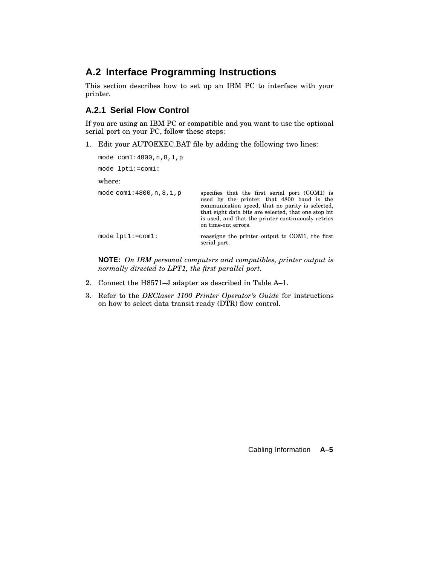## **A.2 Interface Programming Instructions**

This section describes how to set up an IBM PC to interface with your printer.

### **A.2.1 Serial Flow Control**

If you are using an IBM PC or compatible and you want to use the optional serial port on your PC, follow these steps:

1. Edit your AUTOEXEC.BAT file by adding the following two lines:

```
mode com1:4800,n,8,1,p
mode lpt1:=com1:
where:
mode com1:4800,n,8,1,p specifies that the first serial port (COM1) is
                                 used by the printer, that 4800 baud is the
                                 communication speed, that no parity is selected,
                                 that eight data bits are selected, that one stop bit
                                 is used, and that the printer continuously retries
                                 on time-out errors.
mode lpt1:=com1: reassigns the printer output to COM1, the first
                                 serial port.
```
**NOTE:** *On IBM personal computers and compatibles, printer output is normally directed to LPT1, the first parallel port.*

- 2. Connect the H8571–J adapter as described in Table A–1.
- 3. Refer to the *DEClaser 1100 Printer Operator's Guide* for instructions on how to select data transit ready (DTR) flow control.